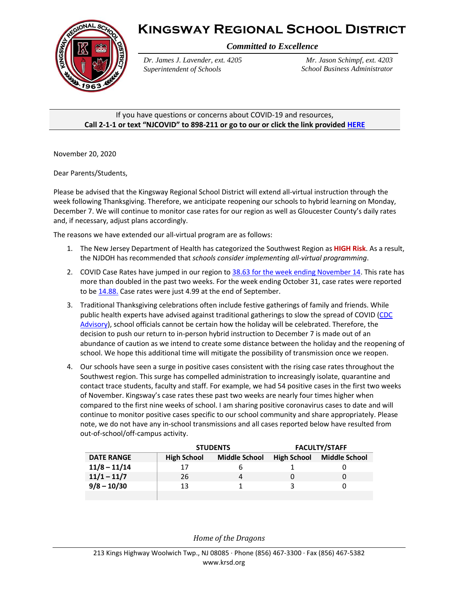



*Committed to Excellence*

*Dr. James J. Lavender, ext. 4205 Superintendent of Schools*

*Mr. Jason Schimpf, ext. 4203 School Business Administrator*

If you have questions or concerns about COVID-19 and resources, **Call 2-1-1 or text "NJCOVID" to 898-211 or go to our or click the link provide[d HERE](https://www.nj.gov/dcf/news/Hotlines&Helplines-COVID.pdf)**

November 20, 2020

Dear Parents/Students,

Please be advised that the Kingsway Regional School District will extend all-virtual instruction through the week following Thanksgiving. Therefore, we anticipate reopening our schools to hybrid learning on Monday, December 7. We will continue to monitor case rates for our region as well as Gloucester County's daily rates and, if necessary, adjust plans accordingly.

The reasons we have extended our all-virtual program are as follows:

- 1. The New Jersey Department of Health has categorized the Southwest Region as **HIGH Risk**. As a result, the NJDOH has recommended that *schools consider implementing all-virtual programming*.
- 2. COVID Case Rates have jumped in our region t[o 38.63 for the week ending November 14.](https://www.nj.gov/health/cd/documents/topics/NCOV/COVID_19_Report_Week_46.pdf) This rate has more than doubled in the past two weeks. For the week ending October 31, case rates were reported to b[e 14.88.](https://www.nj.gov/health/cd/documents/topics/NCOV/COVID_19_Report_Week_44.pdf) Case rates were just 4.99 at the end of September.
- 3. Traditional Thanksgiving celebrations often include festive gatherings of family and friends. While public health experts have advised against traditional gatherings to slow the spread of COVID (CDC [Advisory\)](https://www.cdc.gov/coronavirus/2019-ncov/daily-life-coping/holidays.html), school officials cannot be certain how the holiday will be celebrated. Therefore, the decision to push our return to in-person hybrid instruction to December 7 is made out of an abundance of caution as we intend to create some distance between the holiday and the reopening of school. We hope this additional time will mitigate the possibility of transmission once we reopen.
- 4. Our schools have seen a surge in positive cases consistent with the rising case rates throughout the Southwest region. This surge has compelled administration to increasingly isolate, quarantine and contact trace students, faculty and staff. For example, we had 54 positive cases in the first two weeks of November. Kingsway's case rates these past two weeks are nearly four times higher when compared to the first nine weeks of school. I am sharing positive coronavirus cases to date and will continue to monitor positive cases specific to our school community and share appropriately. Please note, we do not have any in-school transmissions and all cases reported below have resulted from out-of-school/off-campus activity.

|                   | <b>STUDENTS</b>    |                      | <b>FACULTY/STAFF</b> |                      |
|-------------------|--------------------|----------------------|----------------------|----------------------|
| <b>DATE RANGE</b> | <b>High School</b> | <b>Middle School</b> | <b>High School</b>   | <b>Middle School</b> |
| $11/8 - 11/14$    | 17                 | b                    |                      |                      |
| $11/1 - 11/7$     | 26                 | 4                    |                      |                      |
| $9/8 - 10/30$     | 13                 |                      |                      |                      |
|                   |                    |                      |                      |                      |

*Home of the Dragons*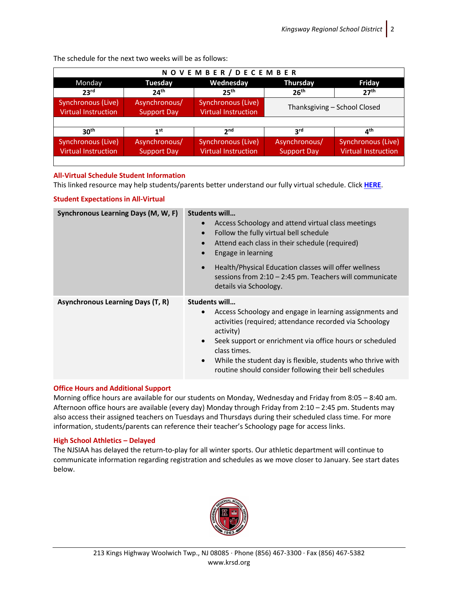| NOVEMBER / DECEMBER        |                    |                            |                              |                            |  |  |  |
|----------------------------|--------------------|----------------------------|------------------------------|----------------------------|--|--|--|
| Monday                     | <b>Tuesday</b>     | Wednesday                  | <b>Thursday</b>              | <b>Friday</b>              |  |  |  |
| 23 <sup>rd</sup>           | 24 <sup>th</sup>   | 25 <sup>th</sup>           | 26 <sup>th</sup>             | 27 <sup>th</sup>           |  |  |  |
| Synchronous (Live)         | Asynchronous/      | Synchronous (Live)         | Thanksgiving - School Closed |                            |  |  |  |
| Virtual Instruction        | <b>Support Day</b> | Virtual Instruction        |                              |                            |  |  |  |
|                            |                    |                            |                              |                            |  |  |  |
| 30 <sup>th</sup>           | 1 <sup>st</sup>    | 2 <sub>nd</sub>            | 3 <sup>rd</sup>              | $4^{\text{th}}$            |  |  |  |
| Synchronous (Live)         | Asynchronous/      | Synchronous (Live)         | Asynchronous/                | Synchronous (Live)         |  |  |  |
| <b>Virtual Instruction</b> | <b>Support Day</b> | <b>Virtual Instruction</b> | <b>Support Day</b>           | <b>Virtual Instruction</b> |  |  |  |
|                            |                    |                            |                              |                            |  |  |  |

The schedule for the next two weeks will be as follows:

# **All-Virtual Schedule Student Information**

This linked resource may help students/parents better understand our fully virtual schedule. Click **[HERE](https://www.krsd.org/Page/1883)**.

## **Student Expectations in All-Virtual**

| Synchronous Learning Days (M, W, F)      | Students will<br>Access Schoology and attend virtual class meetings<br>$\bullet$<br>Follow the fully virtual bell schedule<br>Attend each class in their schedule (required)<br>Engage in learning<br>$\bullet$<br>Health/Physical Education classes will offer wellness<br>$\bullet$<br>sessions from $2:10 - 2:45$ pm. Teachers will communicate<br>details via Schoology.    |
|------------------------------------------|---------------------------------------------------------------------------------------------------------------------------------------------------------------------------------------------------------------------------------------------------------------------------------------------------------------------------------------------------------------------------------|
| <b>Asynchronous Learning Days (T, R)</b> | Students will<br>Access Schoology and engage in learning assignments and<br>$\bullet$<br>activities (required; attendance recorded via Schoology<br>activity)<br>Seek support or enrichment via office hours or scheduled<br>class times.<br>While the student day is flexible, students who thrive with<br>$\bullet$<br>routine should consider following their bell schedules |

## **Office Hours and Additional Support**

Morning office hours are available for our students on Monday, Wednesday and Friday from 8:05 – 8:40 am. Afternoon office hours are available (every day) Monday through Friday from 2:10 – 2:45 pm. Students may also access their assigned teachers on Tuesdays and Thursdays during their scheduled class time. For more information, students/parents can reference their teacher's Schoology page for access links.

## **High School Athletics – Delayed**

The NJSIAA has delayed the return-to-play for all winter sports. Our athletic department will continue to communicate information regarding registration and schedules as we move closer to January. See start dates below.

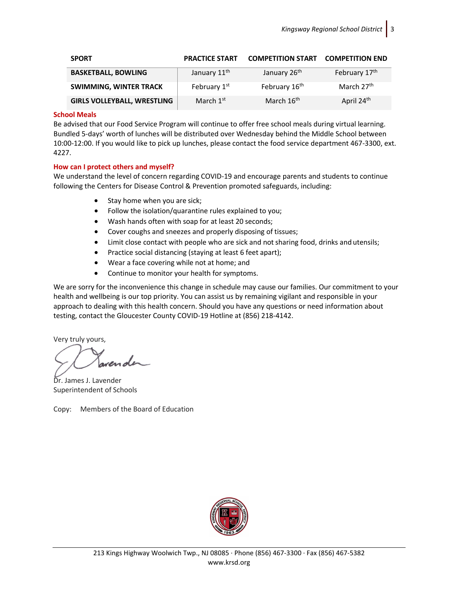| <b>SPORT</b>                       | <b>PRACTICE START</b>    | <b>COMPETITION START</b>  | <b>COMPETITION END</b> |
|------------------------------------|--------------------------|---------------------------|------------------------|
| <b>BASKETBALL, BOWLING</b>         | January 11 <sup>th</sup> | January 26 <sup>th</sup>  | February 17th          |
| <b>SWIMMING, WINTER TRACK</b>      | February 1st             | February 16 <sup>th</sup> | March 27 <sup>th</sup> |
| <b>GIRLS VOLLEYBALL, WRESTLING</b> | March 1 <sup>st</sup>    | March 16 <sup>th</sup>    | April 24 <sup>th</sup> |

#### **School Meals**

Be advised that our Food Service Program will continue to offer free school meals during virtual learning. Bundled 5-days' worth of lunches will be distributed over Wednesday behind the Middle School between 10:00-12:00. If you would like to pick up lunches, please contact the food service department 467-3300, ext. 4227.

### **How can I protect others and myself?**

We understand the level of concern regarding COVID-19 and encourage parents and students to continue following th[e Centers for Disease Control & Prevention](http://cdc.gov/coronavirus/2019-ncov/index.html) promoted safeguards, including:

- Stay home when you are sick;
- Follow the isolation/quarantine rules explained to you;
- Wash hands often with soap for at least 20 seconds;
- Cover coughs and sneezes and properly disposing of tissues;
- Limit close contact with people who are sick and not sharing food, drinks and utensils;
- Practice social distancing (staying at least 6 feet apart);
- Wear a face covering while not at home; and
- Continue to monitor your health for symptoms.

We are sorry for the inconvenience this change in schedule may cause our families. Our commitment to your health and wellbeing is our top priority. You can assist us by remaining vigilant and responsible in your approach to dealing with this health concern. Should you have any questions or need information about testing, contact the Gloucester County COVID-19 Hotline at (856) 218-4142.

Very truly yours,

Dr. James J. Lavender Superintendent of Schools

Copy: Members of the Board of Education